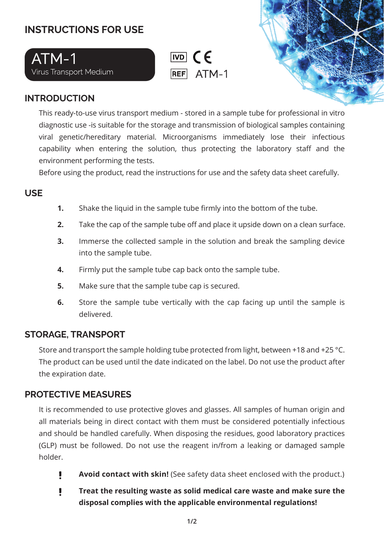# **INSTRUCTIONS FOR USE**





# **INTRODUCTION**

This ready-to-use virus transport medium - stored in a sample tube for professional in vitro diagnostic use -is suitable for the storage and transmission of biological samples containing viral genetic/hereditary material. Microorganisms immediately lose their infectious capability when entering the solution, thus protecting the laboratory staff and the environment performing the tests.

Before using the product, read the instructions for use and the safety data sheet carefully.

## **USE**

- Shake the liquid in the sample tube firmly into the bottom of the tube. **1.**
- Take the cap of the sample tube off and place it upside down on a clean surface. **2.**
- Immerse the collected sample in the solution and break the sampling device into the sample tube. **3.**
- Firmly put the sample tube cap back onto the sample tube. **4.**
- Make sure that the sample tube cap is secured. **5.**
- Store the sample tube vertically with the cap facing up until the sample is delivered. **6.**

### **STORAGE, TRANSPORT**

Store and transport the sample holding tube protected from light, between +18 and +25 °C. The product can be used until the date indicated on the label. Do not use the product after the expiration date.

### **PROTECTIVE MEASURES**

It is recommended to use protective gloves and glasses. All samples of human origin and all materials being in direct contact with them must be considered potentially infectious and should be handled carefully. When disposing the residues, good laboratory practices (GLP) must be followed. Do not use the reagent in/from a leaking or damaged sample holder.

- Ţ. **Avoid contact with skin!** (See safety data sheet enclosed with the product.)
- ı **Treat the resulting waste as solid medical care waste and make sure the disposal complies with the applicable environmental regulations!**